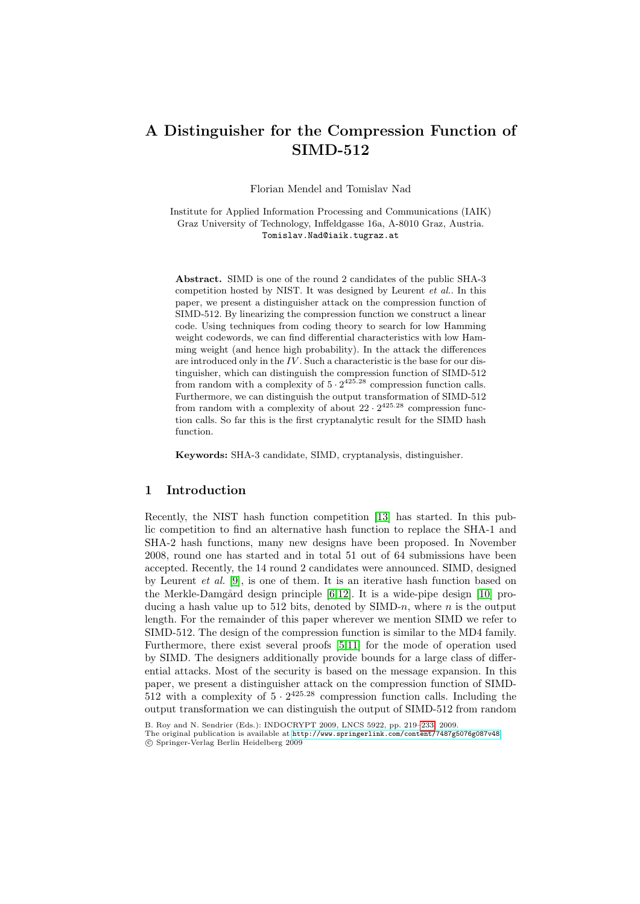# A Distinguisher for the Compression Function of SIMD-512

Florian Mendel and Tomislav Nad

Institute for Applied Information Processing and Communications (IAIK) Graz University of Technology, Inffeldgasse 16a, A-8010 Graz, Austria. Tomislav.Nad@iaik.tugraz.at

Abstract. SIMD is one of the round 2 candidates of the public SHA-3 competition hosted by NIST. It was designed by Leurent et al.. In this paper, we present a distinguisher attack on the compression function of SIMD-512. By linearizing the compression function we construct a linear code. Using techniques from coding theory to search for low Hamming weight codewords, we can find differential characteristics with low Hamming weight (and hence high probability). In the attack the differences are introduced only in the  $IV$ . Such a characteristic is the base for our distinguisher, which can distinguish the compression function of SIMD-512 from random with a complexity of  $5 \cdot 2^{425.28}$  compression function calls. Furthermore, we can distinguish the output transformation of SIMD-512 from random with a complexity of about  $22 \cdot 2^{425.28}$  compression function calls. So far this is the first cryptanalytic result for the SIMD hash function.

Keywords: SHA-3 candidate, SIMD, cryptanalysis, distinguisher.

## 1 Introduction

Recently, the NI[ST](#page-12-0) [ha](#page-13-0)sh function competition [[13\]](#page-13-1) has started. In this public competition to find an alternative hash function to replace the SHA-1 and SHA-2 hash functions, many new designs have been proposed. In November 2008, round one has started and in total 51 out of 64 submissions have been accepted. Recently, [th](#page-12-1)[e 1](#page-13-2)4 round 2 candidates were announced. SIMD, designed by Leurent et al. [9], is one of them. It is an iterative hash function based on the Merkle-Damgård design principle  $[6,12]$ . It is a wide-pipe design  $[10]$  producing a hash value up to 512 bits, denoted by  $SIMD-n$ , where n is the output length. For the remainder of this paper wherever we mention SIMD we refer to SIMD-512. The design of the compression function is similar to the MD4 family. Furthermore, there exist several proofs [5,11] for the mode of operation used by SIMD. [The designers additionally provide bounds fo](http://www.springerlink.com/content/7487g5076g087v48)r a large class of differential attacks. Most of the security is based on the message expansion. In this paper, we present a distinguisher attack on the compression function of SIMD-512 with a complexity of  $5 \cdot 2^{425.28}$  compression function calls. Including the output transformation we can distinguish the output of SIMD-512 from random

B. Roy and N. Sendrier (Eds.): INDOCRYPT 2009, LNCS 5922, pp. 219–233, 2009.

The original publication is available at http://www.springerlink.com/content/7487g5076g087v48 c Springer-Verlag Berlin Heidelberg 2009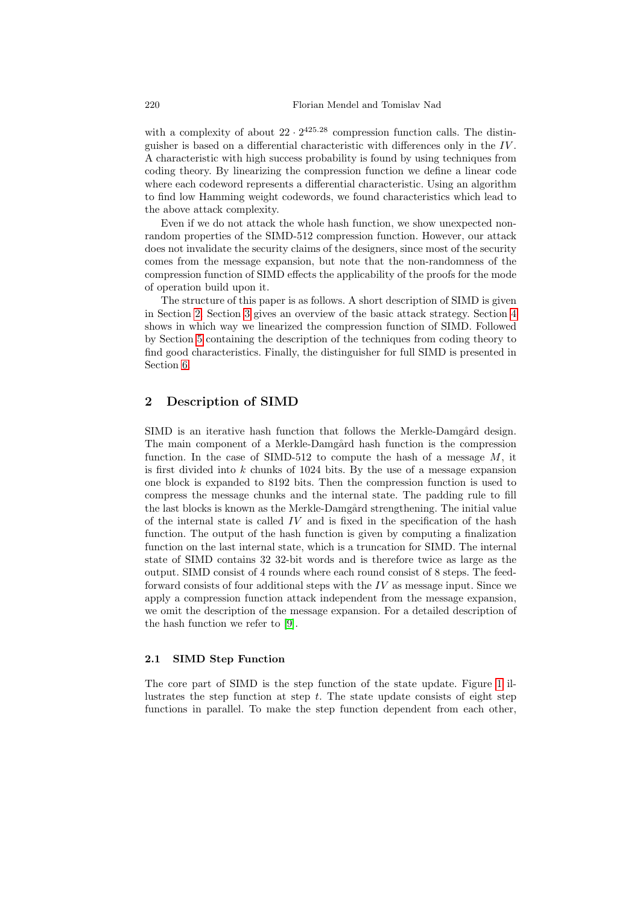with a complexity of about  $22 \cdot 2^{425.28}$  compression function calls. The distinguisher is based on a differential characteristic with differences only in the IV . A characteristic with high success probability is found by using techniques from coding theory. By linearizing the compression function we define a linear code where each codeword represents a differential characteristic. Using an algorithm to find low Hamming weight codewords, we found characteristics which lead to the above attack complexity.

Even if we do not attack the whole hash function, we show unexpected non[ra](#page-4-0)ndom properties of the SIMD-512 compression functio[n.](#page-4-1) However, our attack does not invalidate the security claims of the designers, since most of the security comes from the message expansion, but note that the non-randomness of the compression function of SIMD effects the applicability of the proofs for the mode of operation build upon it.

The structure of this paper is as follows. A short description of SIMD is given in Section 2. Section 3 gives an overview of the basic attack strategy. Section 4 shows in which way we linearized the compression function of SIMD. Followed by Section 5 containing the description of the techniques from coding theory to find good characteristics. Finally, the distinguisher for full SIMD is presented in Section 6.

# 2 Description of SIMD

SIMD is an iterative hash function that follows the Merkle-Damgård design. The main component of a Merkle-Damgård hash function is the compression function. In the case of SIMD-512 to compute the hash of a message  $M$ , it is first divided into k chunks of  $1024$  bits. By the use of a message expansion one block is expanded to 8192 bits. Then the compression function is used to compress the message chunks and the internal state. The padding rule to fill the last blocks is known as the Merkle-Damgård strengthening. The initial value of the internal state is called  $IV$  and is fixed in the specification of the hash function. The output of the hash function is given by computing a finalization function [on](#page-13-3) the last internal state, which is a truncation for SIMD. The internal state of SIMD contains 32 32-bit words and is therefore twice as large as the output. SIMD consist of 4 rounds where each round consist of 8 steps. The feedforward consists of four additional steps with the  $IV$  as message input. Since we apply a compression function attack independent from the message expansion, we omit the description of the message expansion. Fo[r a](#page-2-0) detailed description of the hash function we refer to [9].

#### 2.1 SIMD Step Function

The core part of SIMD is the step function of the state update. Figure 1 illustrates the step function at step  $t$ . The state update consists of eight step functions in parallel. To make the step function dependent from each other,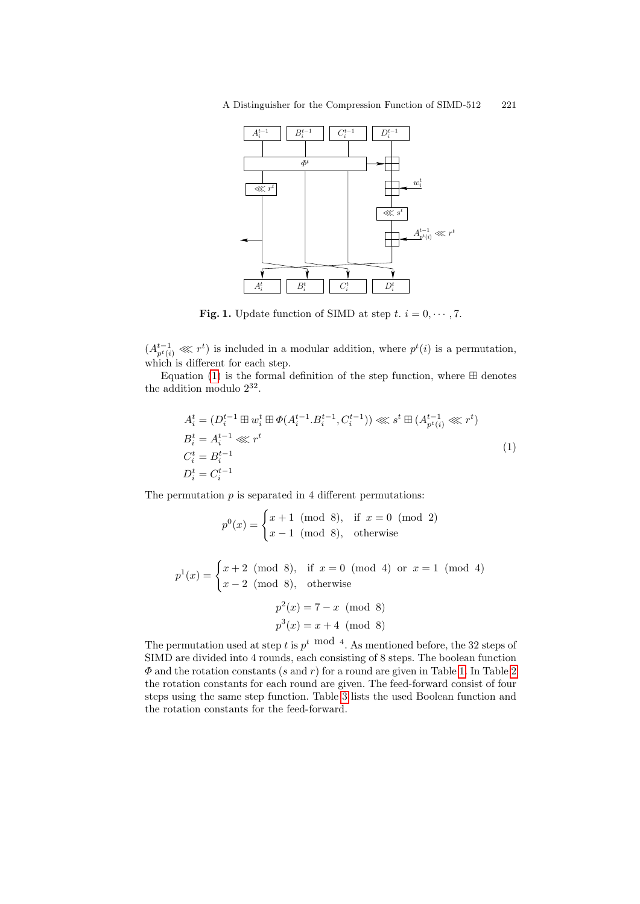

<span id="page-2-0"></span>**Fig. 1.** Update function of SIMD at step  $t, i = 0, \dots, 7$ .

<span id="page-2-1"></span> $(A_{p^t(i)}^{t-1} \ll l^t)$  is included in a modular addition, where  $p^t(i)$  is a permutation, which is different for each step.

Equation (1) is the formal definition of the step function, where  $\boxplus$  denotes the addition modulo  $2^{32}$ .

$$
A_i^t = (D_i^{t-1} \boxplus w_i^t \boxplus \Phi(A_i^{t-1} \cdot B_i^{t-1}, C_i^{t-1})) \lll s^t \boxplus (A_{p^t(i)}^{t-1} \lll r^t)
$$
  
\n
$$
B_i^t = A_i^{t-1} \lll r^t
$$
  
\n
$$
C_i^t = B_i^{t-1}
$$
  
\n
$$
D_i^t = C_i^{t-1}
$$
  
\n(1)

The permutation  $p$  is separated in 4 different permutations:

$$
p^{0}(x) = \begin{cases} x+1 \pmod{8}, & \text{if } x = 0 \pmod{2} \\ x-1 \pmod{8}, & \text{otherwise} \end{cases}
$$

 $p^{1}(x) = \begin{cases} x+2 \pmod{8}, & \text{if } x = 0 \pmod{4} \text{ or } x = 1 \pmod{4} \end{cases}$  $x - 2 \pmod{8}$ , otherwise

$$
p^{2}(x) = 7 - x \pmod{8}
$$
  
 $p^{3}(x) = x + 4 \pmod{8}$ 

The permutation used at step t is  $p^t \mod 4$ . As mentioned before, the 32 steps of SIMD are divided into 4 rounds, each consisting of 8 steps. The boolean function  $\Phi$  and the rotation constants (s and r) for a round are given in Table 1. In Table 2 the rotation constants for each round are given. The feed-forward consist of four steps using the same step function. Table 3 lists the used Boolean function and the rotation constants for the feed-forward.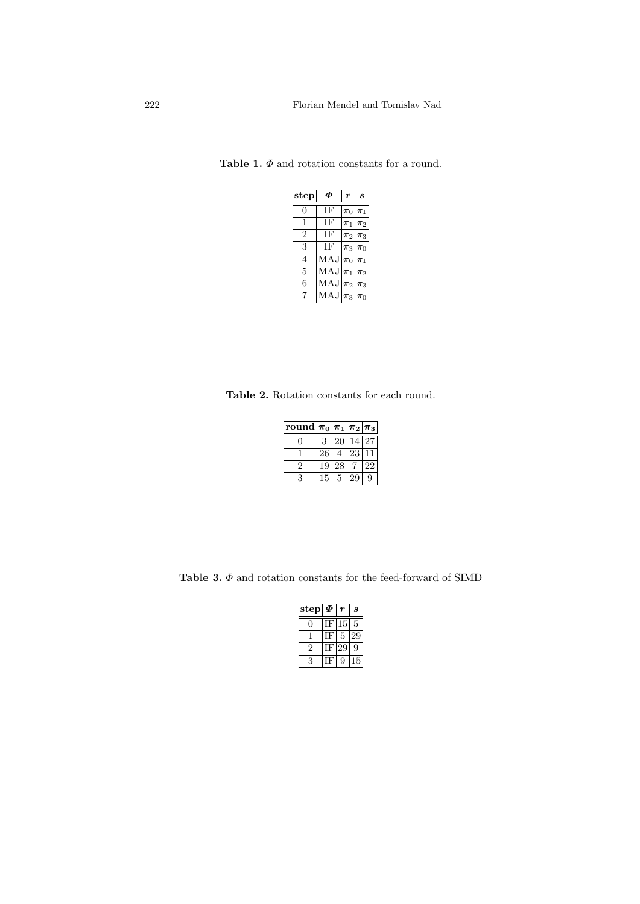<span id="page-3-0"></span>

| $_{\rm step}$ | Ф                                    | $\boldsymbol{r}$ | S              |
|---------------|--------------------------------------|------------------|----------------|
| 0             | ΙF                                   | $\pi_0$          | $\pi_1$        |
| 1             | ΙF                                   | $\pi_1$          | $\pi_2$        |
| 2             | ΙF                                   | $\pi_2$          | $ \pi_3 $      |
| 3             | ΙF                                   |                  | $\pi_3 \pi_0$  |
| 4             | MAJ                                  | $\pi_0 \pi_1$    |                |
| 5             | $\overline{\text{MAJ}} \pi_1 \pi_2 $ |                  |                |
| 6             | MAJ                                  |                  | $\pi_2 \pi_3 $ |
| 7             | MAJ                                  |                  | $\pi_3 \pi_0 $ |

Table 1.  $\Phi$  and rotation constants for a round.

Table 2. Rotation constants for each round.

| round $ \pi_0 \pi_1 \pi_2 \pi_3 $ |    |               |       |    |
|-----------------------------------|----|---------------|-------|----|
|                                   | 3  | <sup>20</sup> | 14 27 |    |
|                                   | 26 | 4             | 23    |    |
| '2                                | 19 | 28            |       | 22 |
| 3                                 | 15 | 5             | 29    | 9  |

Table 3.  $\Phi$  and rotation constants for the feed-forward of SIMD

| step           | Ф |    | $\boldsymbol{s}$ |
|----------------|---|----|------------------|
|                | ь | 15 | 5                |
|                | H | 5  |                  |
| $\overline{2}$ |   |    | U                |
| 3              |   | Ų  |                  |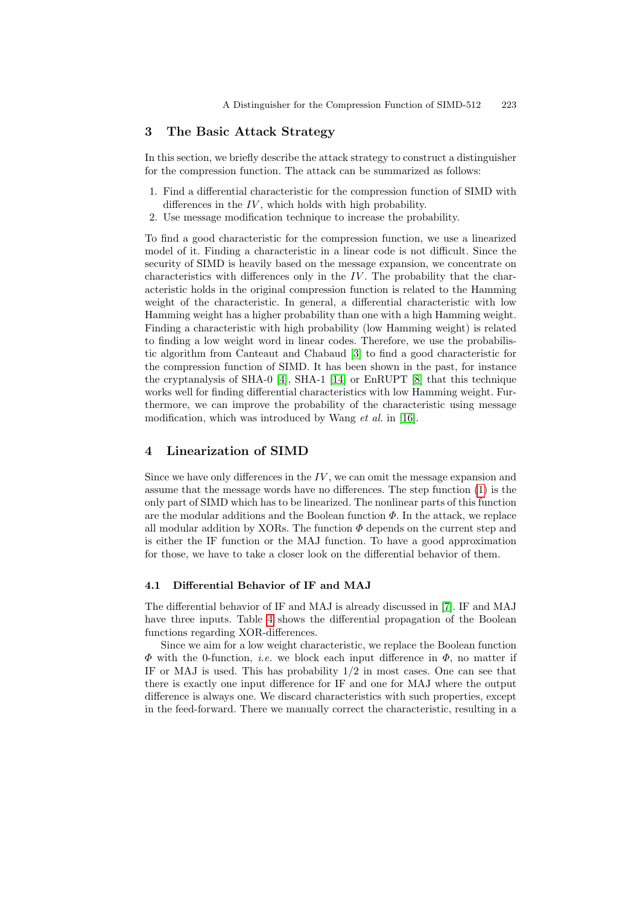## <span id="page-4-0"></span>3 The Basic Attack Strategy

In this section, we briefly describe the attack strategy to construct a distinguisher for the compression function. The attack can be summarized as follows:

- 1. Find a differential characteristic for the compression function of SIMD with differences in the  $IV$ , which holds with high probability.
- 2. Use message modification technique to increase the probability.

To find a good characteristic for the compression function, we use a linearized model of it. Finding a characteristic in a linear code is not difficult. Since the security of SIMD is heavily based on the message expansion, we concentrate on characteristics with di[ffer](#page-12-2)ences only in the  $IV$ . The probability that the characteristic holds in the original compression function is related to the Hamming weight [of](#page-12-3) the cha[ract](#page-13-4)eristic. In ge[ner](#page-13-5)al, a differential characteristic with low Hamming weight has a higher probability than one with a high Hamming weight. Finding a characteristic with high probability (low Hamming weight) is related to finding a low weight word in l[inea](#page-13-6)r codes. Therefore, we use the probabilistic algorithm from Canteaut and Chabaud [3] to find a good characteristic for the compression function of SIMD. It has been shown in the past, for instance the cryptanalysis of SHA-0 [4], SHA-1 [14] or EnRUPT [8] that this technique works well for finding differential characteristics with low Hamming weight. Furthermore, we can improve the probability of the characteristic using message modification, which was introduced by Wang *et a[l.](#page-2-1)* in [16].

## <span id="page-4-1"></span>4 Linearization of SIMD

<span id="page-4-2"></span>Since we have only differences in the  $IV$ , we can omit the message expansion and assume that the message words have no differences. The step function (1) is the only part of SIMD which has to be linearized. The nonlinear parts of this function are the modular additions and the Boolean function  $\Phi$ . In the attack, we replace all modular additi[on](#page-12-4) by XORs. The function  $\Phi$  depends on the current step and is ei[the](#page-5-0)r the IF function or the MAJ function. To have a good approximation for those, we have to take a closer look on the differential behavior of them.

## 4.1 Differential Behavior of IF and MAJ

The differential behavior of IF and MAJ is already discussed in [7]. IF and MAJ have three inputs. Table 4 shows the differential propagation of the Boolean functions regarding XOR-differences.

Since we aim for a low weight characteristic, we replace the Boolean function  $\Phi$  with the 0-function, *i.e.* we block each input difference in  $\Phi$ , no matter if IF or MAJ is used. This has probability  $1/2$  in most cases. One can see that there is exactly one input difference for IF and one for MAJ where the output difference is always one. We discard characteristics with such properties, except in the feed-forward. There we manually correct the characteristic, resulting in a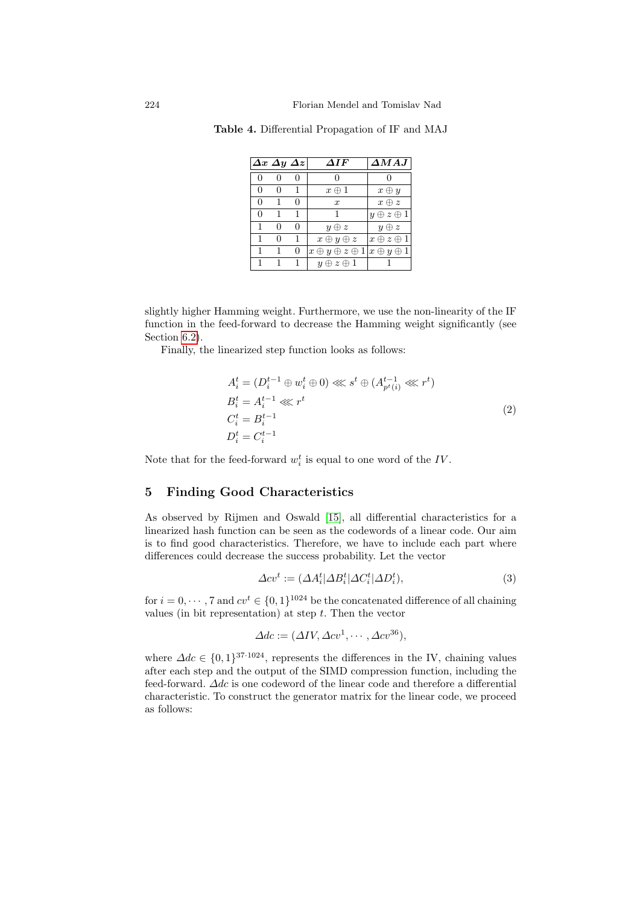|   |              | $\Delta x \; \Delta y \; \Delta z$ | $\boldsymbol{\Delta I} \boldsymbol{F}$               | $\boldsymbol{\Delta MAJ} \,  $ |
|---|--------------|------------------------------------|------------------------------------------------------|--------------------------------|
|   |              |                                    |                                                      |                                |
|   | 0            | 1                                  | $x \oplus 1$                                         | $x \oplus y$                   |
| 0 |              | 0                                  | $\boldsymbol{x}$                                     | $x \oplus z$                   |
| 0 | 1            | 1                                  |                                                      | $y \oplus z \oplus 1$          |
|   | $\mathbf{0}$ | $\Omega$                           | $y \oplus z$                                         | $y \oplus z$                   |
|   | 0            | 1                                  | $x \oplus y \oplus z$                                | $x \oplus z \oplus 1$          |
|   |              | 0                                  | $x \oplus y \oplus z \oplus 1   x \oplus y \oplus 1$ |                                |
|   |              | $\mathbf{1}$                       | $y \oplus z \oplus 1$                                |                                |

<span id="page-5-0"></span>Table 4. Differential Propagation of IF and MAJ

slightly higher Hamming weight. Furthermore, we use the non-linearity of the IF function in the feed-forward to decrease the Hamming weight significantly (see Section 6.2).

Finally, the linearized step function looks as follows:

$$
A_i^t = (D_i^{t-1} \oplus w_i^t \oplus 0) \ll l^t \oplus (A_{p^t(i)}^{t-1} \ll l^t)
$$
  
\n
$$
B_i^t = A_i^{t-1} \ll l^t
$$
  
\n
$$
C_i^t = B_i^{t-1}
$$
  
\n
$$
D_i^t = C_i^{t-1}
$$
\n(2)

Note that for the feed-forward  $w_i^t$  is equal to one word of the *IV*.

# 5 Finding Good Characteristics

As observed by Rijmen and Oswald [15], all differential characteristics for a linearized hash function can be seen as the codewords of a linear code. Our aim is to find good characteristics. Therefore, we have to include each part where differences could decrease the success probability. Let the vector

<span id="page-5-1"></span>
$$
\Delta cv^{t} := (\Delta A_i^{t} | \Delta B_i^{t} | \Delta C_i^{t} | \Delta D_i^{t}), \qquad (3)
$$

for  $i = 0, \dots, 7$  and  $cv^t \in \{0, 1\}^{1024}$  be the concatenated difference of all chaining values (in bit representation) at step  $t$ . Then the vector

$$
\Delta dc := (\Delta IV, \Delta cv^1, \cdots, \Delta cv^{36}),
$$

where  $\Delta dc \in \{0,1\}^{37 \cdot 1024}$ , represents the differences in the IV, chaining values after each step and the output of the SIMD compression function, including the feed-forward. ∆dc is one codeword of the linear code and therefore a differential characteristic. To construct the generator matrix for the linear code, we proceed as follows: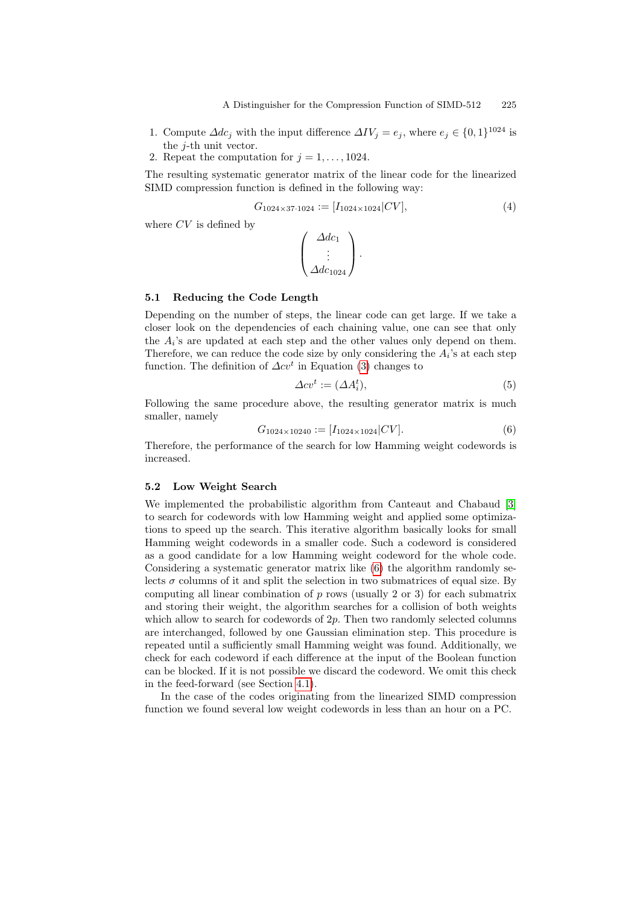- 1. Compute  $\Delta dc_j$  with the input difference  $\Delta IV_j = e_j$ , where  $e_j \in \{0,1\}^{1024}$  is the j-th unit vector.
- 2. Repeat the computation for  $j = 1, \ldots, 1024$ .

The resulting systematic generator matrix of the linear code for the linearized SIMD compression function is defined in the following way:

$$
G_{1024 \times 37 \cdot 1024} := [I_{1024 \times 1024} | CV], \tag{4}
$$

where  $CV$  is defined by

$$
\begin{pmatrix}\n\Delta dc_1 \\
\vdots \\
\Delta dc_{1024}\n\end{pmatrix}.
$$

#### 5.1 Reducing the C[od](#page-5-1)e Length

<span id="page-6-0"></span>Depending on the number of steps, the linear code can get large. If we take a closer look on the dependencies of each chaining value, one can see that only the  $A_i$ 's are updated at each step and the other values only depend on them. Therefore, we can reduce the code size by only considering the  $A_i$ 's at each step function. The definition of  $\Delta cv^t$  in Equation (3) changes to

$$
\Delta cv^t := (\Delta A_i^t),\tag{5}
$$

Following the same procedure above, the resulting generator matrix is much smaller, namely

$$
G_{1024 \times 10240} := [I_{1024 \times 1024} | CV]. \tag{6}
$$

Therefore, the performance of the search for low Hamming weight codewords is increased.

#### 5.2 Low Weight Search

We implemented the prob[abi](#page-6-0)listic algorithm from Canteaut and Chabaud [3] to search for codewords with low Hamming weight and applied some optimizations to speed up the search. This iterative algorithm basically looks for small Hamming weight codewords in a smaller code. Such a codeword is considered as a good candidate for a low Hamming weight codeword for the whole code. Considering a systematic generator matrix like (6) the algorithm randomly selects  $\sigma$  columns of it and split the selection in two submatrices of equal size. By computing all linear combination of  $p$  rows (usually 2 or 3) for each submatrix and storin[g th](#page-4-2)eir weight, the algorithm searches for a collision of both weights which allow to search for codewords of 2p. Then two randomly selected columns are interchanged, followed by one Gaussian elimination step. This procedure is repeated until a sufficiently small Hamming weight was found. Additionally, we check for each codeword if each difference at the input of the Boolean function can be blocked. If it is not possible we discard the codeword. We omit this check in the feed-forward (see Section 4.1).

In the case of the codes originating from the linearized SIMD compression function we found several low weight codewords in less than an hour on a PC.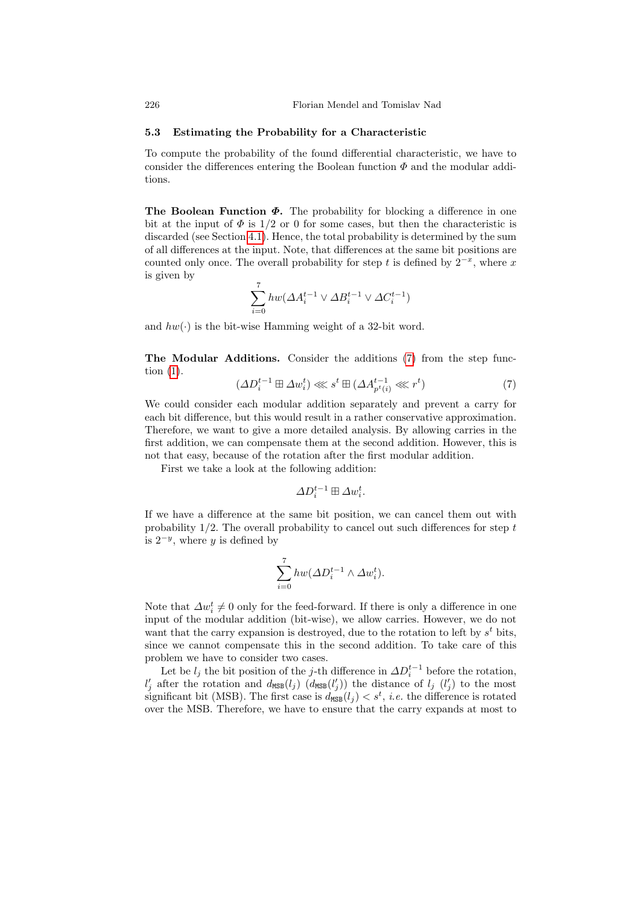#### 5.3 Estimating the Probability for a Characteristic

To compute the probability of the found differential characteristic, we have to [cons](#page-4-2)ider the differences entering the Boolean function  $\Phi$  and the modular additions.

The Boolean Function  $\Phi$ . The probability for blocking a difference in one bit at the input of  $\Phi$  is  $1/2$  or 0 for some cases, but then the characteristic is discarded (see Section 4.1). Hence, the total probability is determined by the sum of all differences at the input. Note, that differences at the same bit positions are counted only once. The overall probability for step t is defined by  $2^{-x}$ , where x is given by

$$
\sum_{i=0}^{7}hw(\varDelta A_{i}^{t-1}\vee\varDelta B_{i}^{t-1}\vee\varDelta C_{i}^{t-1})
$$

<span id="page-7-0"></span>and  $hw(\cdot)$  is the bit-wise Hamming weight of a 32-bit word.

The Modular Additions. Consider the additions (7) from the step function (1).

$$
(\Delta D_i^{t-1} \boxplus \Delta w_i^t) \lll s^t \boxplus (\Delta A_{p^t(i)}^{t-1} \lll r^t) \tag{7}
$$

We could consider each modular addition separately and prevent a carry for each bit difference, but this would result in a rather conservative approximation. Therefore, we want to give a more detailed analysis. By allowing carries in the first addition, we can compensate them at the second addition. However, this is not that easy, because of the rotation after the first modular addition.

First we take a look at the following addition:

$$
\varDelta D_i^{t-1}\boxplus\varDelta w_i^t.
$$

If we have a difference at the same bit position, we can cancel them out with probability  $1/2$ . The overall probability to cancel out such differences for step t is  $2^{-y}$ , where y is defined by

$$
\sum_{i=0}^{7}hw(\Delta D_{i}^{t-1}\wedge \Delta w_{i}^{t}).
$$

Note that  $\Delta w_i^t \neq 0$  only for the feed-forward. If there is only a difference in one input of the modular addition (bit-wise), we allow carries. However, we do not want that the carry expansion is destroyed, due to the rotation to left by  $s^t$  bits, since we cannot compensate this in the second addition. To take care of this problem we have to consider two cases.

Let be  $l_j$  the bit position of the j-th difference in  $\Delta D_i^{t-1}$  before the rotation,  $l'_j$  after the rotation and  $d_{\text{MSB}}(l_j)$  ( $d_{\text{MSB}}(l'_j)$ ) the distance of  $l_j$  ( $l'_j$ ) to the most significant bit (MSB). The first case is  $d_{\text{MSB}}(l_j) < s^t$ , *i.e.* the difference is rotated over the MSB. Therefore, we have to ensure that the carry expands at most to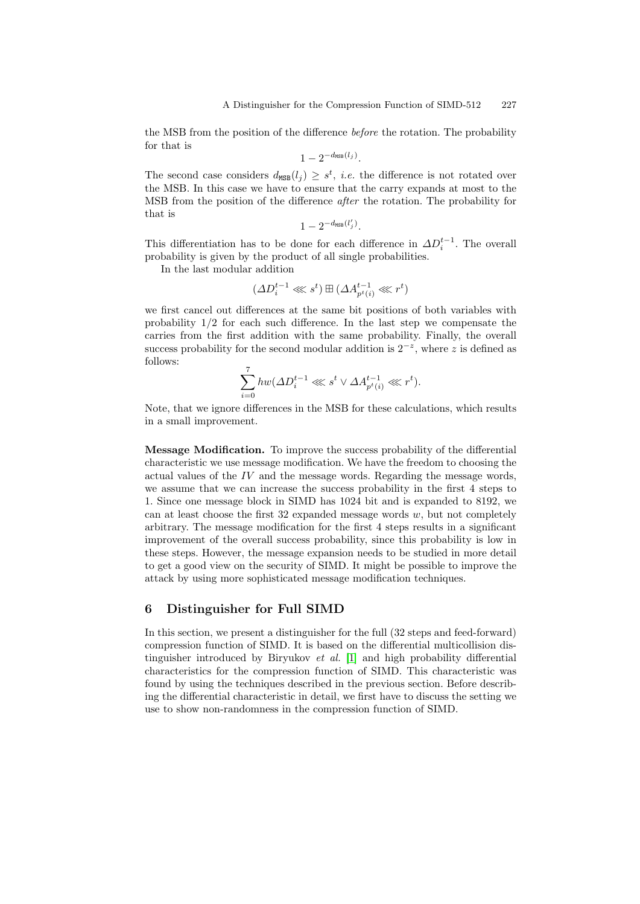the MSB from the position of the difference before the rotation. The probability for that is

$$
1-2^{-d_{\mathtt{MSB}}(l_j)}.
$$

The second case considers  $d_{\text{MSB}}(l_j) \geq s^t$ , *i.e.* the difference is not rotated over the MSB. In this case we have to ensure that the carry expands at most to the MSB from the position of the difference after the rotation. The probability for that is

$$
1-2^{-d_{\mathtt{MSB}}(l'_j)}.
$$

This differentiation has to be done for each difference in  $\Delta D_i^{t-1}$ . The overall probability is given by the product of all single probabilities.

In the last modular addition

$$
(\varDelta D_i^{t-1}\lll s^t)\boxplus(\varDelta A_{p^t(i)}^{t-1}\lll r^t)
$$

we first cancel out differences at the same bit positions of both variables with probability 1/2 for each such difference. In the last step we compensate the carries from the first addition with the same probability. Finally, the overall success probability for the second modular addition is  $2^{-z}$ , where z is defined as follows:

$$
\sum_{i=0}^{7} hw(\Delta D_i^{t-1} \ll l s^t \lor \Delta A_{p^t(i)}^{t-1} \ll l r^t).
$$

<span id="page-8-0"></span>Note, that we ignore differences in the MSB for these calculations, which results in a small improvement.

Message Modification. To improve the success probability of the differential characteristic we use message modification. We have the freedom to choosing the actual values of the  $IV$  and the message words. Regarding the message words, we assume that we can increase the success probability in the first 4 steps to 1. Since one message block in SIMD has 1024 bit and is expanded to 8192, we can at least choose the first 32 expanded message words  $w$ , but not completely arbitrary. The message modification for the first 4 steps results in a significant improvement of the overall success probability, since this probability is low in these steps. However, the message expansion needs to be studied in more detail to get a good view on the security of SIMD. It might be possible to improve the attack by using more [sop](#page-12-5)histicated message modification techniques.

## 6 Distinguisher for Full SIMD

In this section, we present a distinguisher for the full (32 steps and feed-forward) compression function of SIMD. It is based on the differential multicollision distinguisher introduced by Biryukov *et al.* [1] and high probability differential characteristics for the compression function of SIMD. This characteristic was found by using the techniques described in the previous section. Before describing the differential characteristic in detail, we first have to discuss the setting we use to show non-randomness in the compression function of SIMD.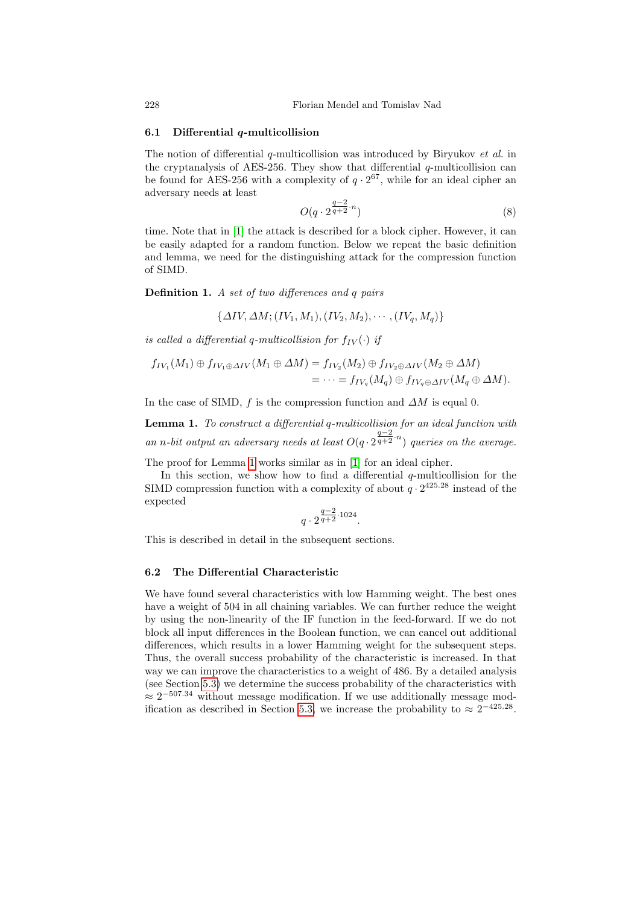## 6.1 Differential  $q$ -multicollision

The notion of differential  $q$ -multicollision was introduced by Biryukov et al. in the cryptanalysis of AES-256. They show that differential  $q$ -multicollision can be found for AES-256 with a complexity of  $q \cdot 2^{67}$ , while for an ideal cipher an adversary needs at least

$$
O(q \cdot 2^{\frac{q-2}{q+2} \cdot n}) \tag{8}
$$

time. Note that in [1] the attack is described for a block cipher. However, it can be easily adapted for a random function. Below we repeat the basic definition and lemma, we need for the distinguishing attack for the compression function of SIMD.

Definition 1. A set of two differences and q pairs

$$
\{\Delta IV, \Delta M; (IV_1, M_1), (IV_2, M_2), \cdots, (IV_q, M_q)\}\
$$

is called a differential q-multicollision for  $f_{IV}(\cdot)$  if

$$
f_{IV_1}(M_1) \oplus f_{IV_1 \oplus \Delta IV}(M_1 \oplus \Delta M) = f_{IV_2}(M_2) \oplus f_{IV_2 \oplus \Delta IV}(M_2 \oplus \Delta M)
$$
  
=  $\cdots = f_{IV_q}(M_q) \oplus f_{IV_q \oplus \Delta IV}(M_q \oplus \Delta M).$ 

In the case of SIMD, f is the compression function and  $\Delta M$  is equal 0.

Lemma 1. To construct a differential q-multicollision for an ideal function with an n-bit output an adversary needs at least  $O(q \cdot 2^{\frac{q-2}{q+2} \cdot n})$  queries on the average.

The proof for Lemma 1 works similar as in [1] for an ideal cipher.

In this section, we show how to find a differential  $q$ -multicollision for the SIMD compression function with a complexity of about  $q \cdot 2^{425.28}$  instead of the expected

$$
q \cdot 2^{\frac{q-2}{q+2} \cdot 1024}.
$$

This is described in detail in the subsequent sections.

#### 6.2 The Differential Characteristic

We have found several characteristics with low Hamming weight. The best ones have a weight of 504 in all chaining variables. We can further reduce the weight by using the non-linearity of the IF function in the feed-forward. If we do not block all in[put](#page-8-0) differences in the Boolean function, we can cancel out additional differences, which results in a lower Hamming weight for the subsequent steps. Thus, the overall success probability of the characteristic is increased. In that way we can improve the characteristics to a weight of 486. By a detailed analysis (see Section 5.3) we determine the success probability of the characteristics with  $\approx 2^{-507.34}$  without message modification. If we use additionally message modification as described in Section 5.3, we increase the probability to  $\approx 2^{-425.28}$ .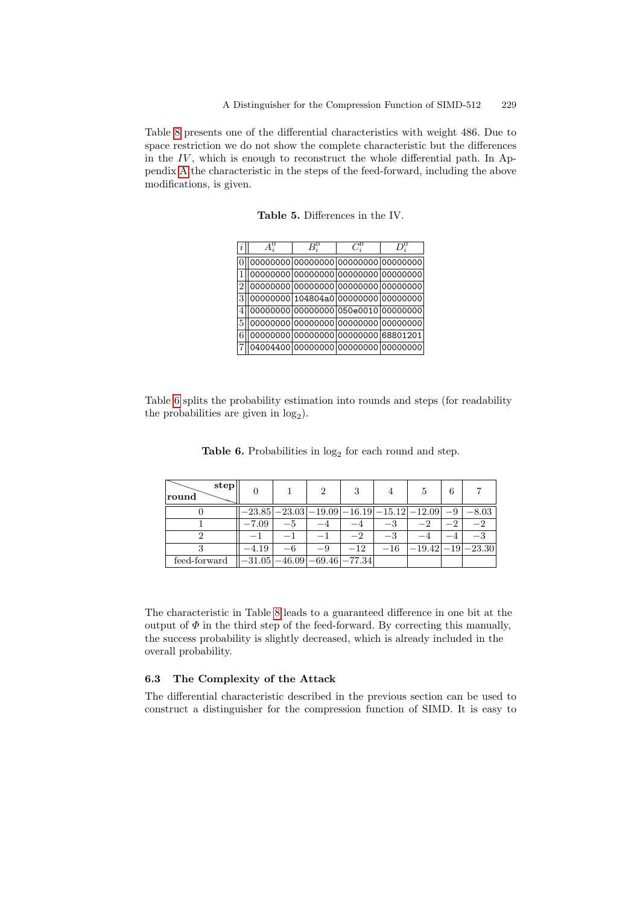Table 8 presents one of the differential characteristics with weight 486. Due to space restriction we do not show the complete characteristic but the differences in the  $IV$ , which is enough to reconstruct the whole differential path. In Appendix A the characteristic in the steps of the feed-forward, including the above modifications, is given.

| $\boldsymbol{\eta}$ |  |                                     |  |
|---------------------|--|-------------------------------------|--|
|                     |  | 00000000 00000000 00000000 00000000 |  |
|                     |  | 00000000 00000000 00000000 00000000 |  |
|                     |  | 00000000 00000000 00000000 00000000 |  |
| 3                   |  | 00000000 104804a0 00000000 00000000 |  |
|                     |  | 00000000 00000000 050e0010 00000000 |  |
| 5                   |  | 00000000 00000000 00000000 00000000 |  |
|                     |  | 00000000 00000000 00000000 68801201 |  |
|                     |  | 04004400 00000000 00000000 00000000 |  |

Table 5. Differences in the IV.

Table 6 splits the probability estimation into rounds and steps (for readability the probabilities are given in  $log_2$ ).

**Table 6.** Probabilities in  $log_2$  for each round and step.

| step<br>round                                             |         |      |      | -3                                                                               |      | 5                           | 6 |      |
|-----------------------------------------------------------|---------|------|------|----------------------------------------------------------------------------------|------|-----------------------------|---|------|
|                                                           |         |      |      | $-23.85$   $-23.03$   $-19.09$   $-16.19$   $-15.12$   $-12.09$   $-9$   $-8.03$ |      |                             |   |      |
|                                                           | $-7.09$ | -5   |      |                                                                                  | $-3$ |                             |   | $-2$ |
|                                                           |         |      |      | $-2$                                                                             | $-3$ |                             |   |      |
|                                                           | $-4.19$ | $-6$ | $-9$ | $-12$                                                                            |      | $-16$ $ -19.42  -19 -23.30$ |   |      |
| feed-forward $\  -31.05 \ - 46.09 \ - 69.46 \ - 77.34 \ $ |         |      |      |                                                                                  |      |                             |   |      |

The characteristic in Table 8 leads to a guaranteed difference in one bit at the output of  $\Phi$  in the third step of the feed-forward. By correcting this manually, the success probability is slightly decreased, which is already included in the overall probability.

## 6.3 The Complexity of the Attack

The differential characteristic described in the previous section can be used to construct a distinguisher for the compression function of SIMD. It is easy to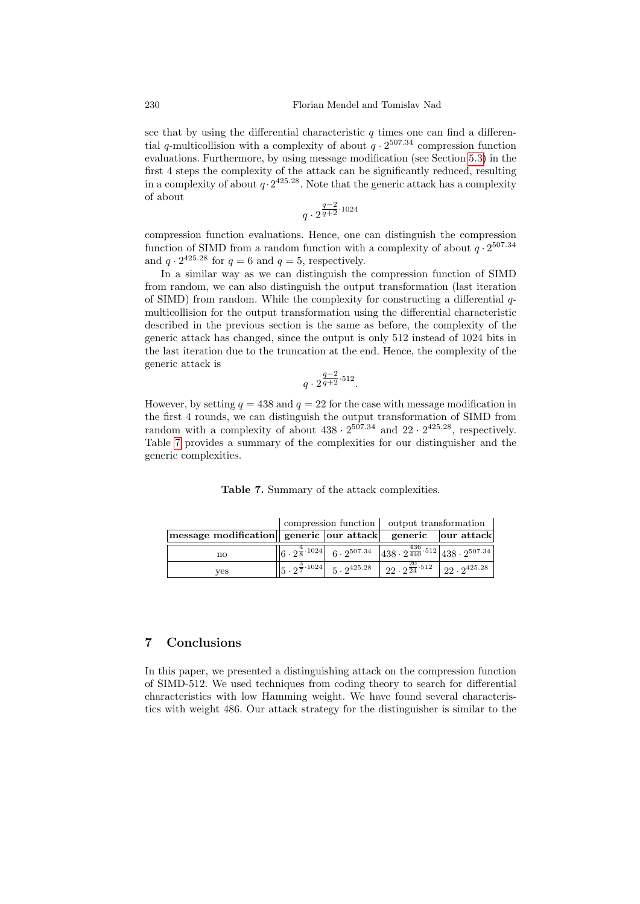see that by using the differential characteristic  $q$  times one can find a differential q-multicollision with a complexity of about  $q \cdot 2^{507.34}$  compression function evaluations. Furthermore, by using message modification (see Section 5.3) in the first 4 steps the complexity of the attack can be significantly reduced, resulting in a complexity of about  $q \cdot 2^{425.28}$ . Note that the generic attack has a complexity of about

$$
q\cdot 2^{\frac{q-2}{q+2}\cdot 1024}
$$

compression function evaluations. Hence, one can distinguish the compression function of SIMD from a random function with a complexity of about  $q \cdot 2^{507.34}$ and  $q \cdot 2^{425.28}$  for  $q = 6$  and  $q = 5$ , respectively.

In a similar way as we can distinguish the compression function of SIMD from random, we can also distinguish the output transformation (last iteration of SIMD) from random. While the complexity for constructing a differential qmulticollision for the output transformation using the differential characteristic described in the previous section is the same as before, the complexity of the generic attack has changed, since the output is only 512 instead of 1024 bits in the last iteration due to the truncation at the end. Hence, the complexity of the generic attack is

$$
q \cdot 2^{\frac{q-2}{q+2} \cdot 512}.
$$

However, by setting  $q = 438$  and  $q = 22$  for the case with message modification in the first 4 rounds, we can distinguish the output transformation of SIMD from random with a complexity of about  $438 \cdot 2^{507.34}$  and  $22 \cdot 2^{425.28}$ , respectively. Table 7 provides a summary of the complexities for our distinguisher and the generic complexities.

| Table 7. Summary of the attack complexities. |  |  |  |  |
|----------------------------------------------|--|--|--|--|
|----------------------------------------------|--|--|--|--|

|                                                                    |  |                                                                 | compression function   output transformation                                                                                                                        |  |
|--------------------------------------------------------------------|--|-----------------------------------------------------------------|---------------------------------------------------------------------------------------------------------------------------------------------------------------------|--|
| message modification   generic   our attack   generic   our attack |  |                                                                 |                                                                                                                                                                     |  |
| $\mathbf{n}$                                                       |  |                                                                 | $\begin{array}{ c c c c c c } \hline & 6 & 2^{\frac{4}{5} \cdot 1024} & 6 & 2^{507.34} & 438 & 2^{\frac{436}{440} \cdot 512} & 438 & 2^{507.34} \hline \end{array}$ |  |
| ves                                                                |  | $\left\ 5\cdot2^{\frac{3}{7}\cdot1024}\right\ 5\cdot2^{425.28}$ | $\frac{22}{22 \cdot 2^{24}}$ <sup>512</sup> $\sqrt{22 \cdot 2^{425.28}}$                                                                                            |  |

# 7 Conclusions

In this paper, we presented a distinguishing attack on the compression function of SIMD-512. We used techniques from coding theory to search for differential characteristics with low Hamming weight. We have found several characteristics with weight 486. Our attack strategy for the distinguisher is similar to the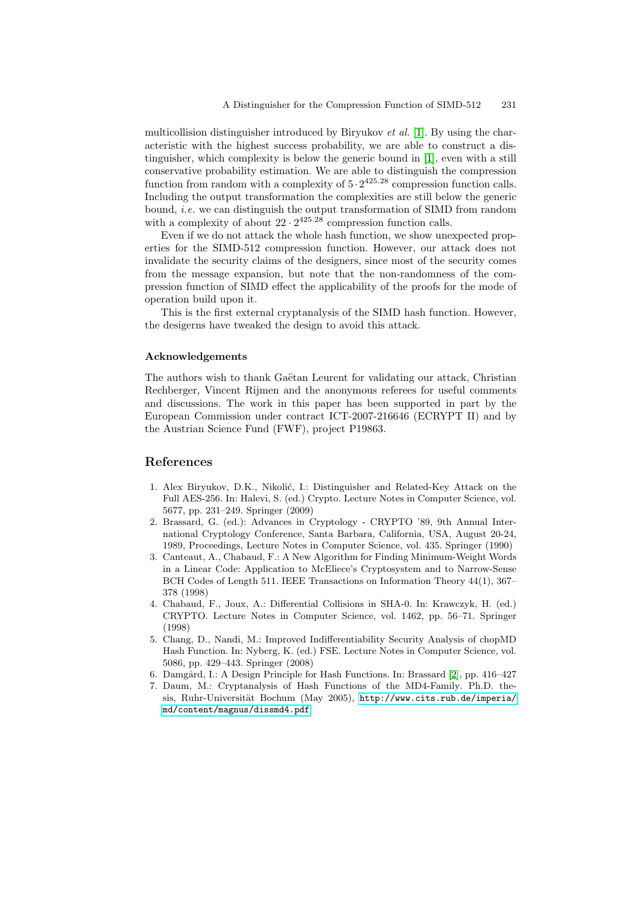multicollision distinguisher introduced by Biryukov et al. [1]. By using the characteristic with the highest success probability, we are able to construct a distinguisher, which complexity is below the generic bound in [1], even with a still conservative probability estimation. We are able to distinguish the compression function from random with a complexity of  $5 \cdot 2^{425.28}$  compression function calls. Including the output transformation the complexities are still below the generic bound, i.e. we can distinguish the output transformation of SIMD from random with a complexity of about  $22 \cdot 2^{425.28}$  compression function calls.

Even if we do not attack the whole hash function, we show unexpected properties for the SIMD-512 compression function. However, our attack does not invalidate the security claims of the designers, since most of the security comes from the message expansion, but note that the non-randomness of the compression function of SIMD effect the applicability of the proofs for the mode of operation build upon it.

This is the first external cryptanalysis of the SIMD hash function. However, the desigerns have tweaked the design to avoid this attack.

#### Acknowledgements

<span id="page-12-5"></span>The authors wish to thank Gaëtan Leurent for validating our attack, Christian Rechberger, Vincent Rijmen and the anonymous referees for useful comments and discussions. The work in this paper has been supported in part by the European Commission under contract ICT-2007-216646 (ECRYPT II) and by the Austrian Science Fund (FWF), project P19863.

# <span id="page-12-6"></span><span id="page-12-2"></span>References

- 1. Alex Biryukov, D.K., Nikolić, I.: Distinguisher and Related-Key Attack on the Full AES-256. In: Halevi, S. (ed.) Crypto. Lecture Notes in Computer Science, vol. 5677, pp. 231–249. Springer (2009)
- <span id="page-12-3"></span>2. Brassard, G. (ed.): Advances in Cryptology - CRYPTO '89, 9th Annual International Cryptology Conference, Santa Barbara, California, USA, August 20-24, 1989, Proceedings, Lecture Notes in Computer Science, vol. 435. Springer (1990)
- <span id="page-12-1"></span>3. Canteaut, A., Chabaud, F.: A New Algorithm for Finding Minimum-Weight Words in a Linear Code: Application to McEliece's Cryptosystem and to Narrow-Sense BCH Codes of Length 511. IEEE Transactions on Information Theory 44(1), 367– 378 (1998)
- <span id="page-12-4"></span><span id="page-12-0"></span>4. Chabaud, F., Joux, A.: Differential Collisi[on](#page-12-6)s in SHA-0. In: Krawczyk, H. (ed.) CRYPTO. Lecture N[otes in Computer Science, vol. 1462](http://www.cits.rub.de/imperia/md/content/magnus/dissmd4.pdf), pp. 56–71. Springer (1998)
- 5. [Chang, D.,](http://www.cits.rub.de/imperia/md/content/magnus/dissmd4.pdf) Nandi, M.: Improved Indifferentiability Security Analysis of chopMD Hash Function. In: Nyberg, K. (ed.) FSE. Lecture Notes in Computer Science, vol. 5086, pp. 429–443. Springer (2008)
- 6. Damgård, I.: A Design Principle for Hash Functions. In: Brassard [2], pp. 416–427
- 7. Daum, M.: Cryptanalysis of Hash Functions of the MD4-Family. Ph.D. thesis, Ruhr-Universität Bochum (May 2005), http://www.cits.rub.de/imperia/ md/content/magnus/dissmd4.pdf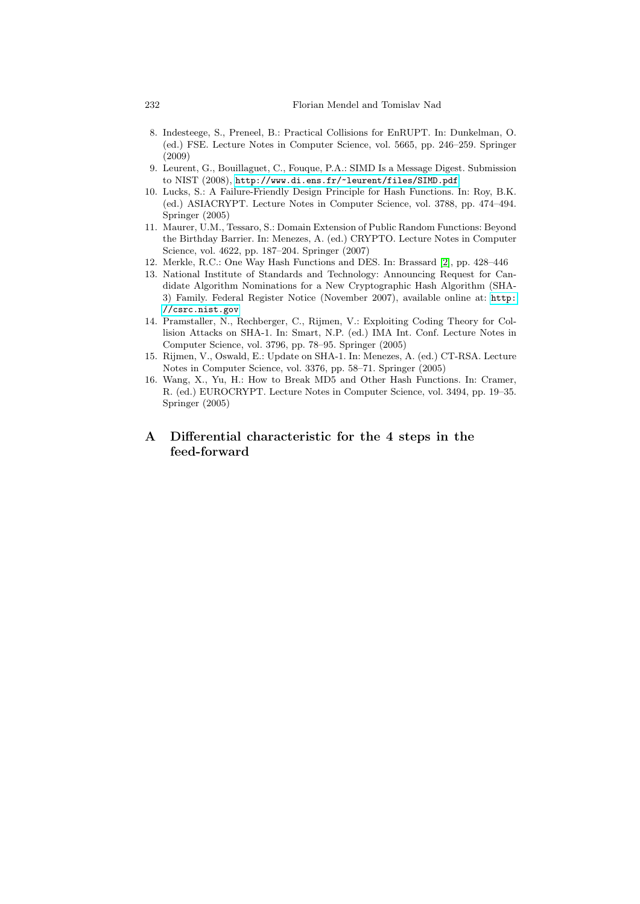- 8. Indesteege, S., Preneel, B.: Practical Collisions for EnRUPT. In: Dunkelman, O. (ed.) FSE. Lecture Notes in Computer Science, vol. 5665, pp. 246–259. Springer (2009)
- <span id="page-13-2"></span>9. Leurent, G., Bouillaguet, C., Fouque, P.A.: SIMD Is a Message Digest. Submission to NIST (2008), http://www.di.ens.fr/~leurent/files/SIMD.pdf
- <span id="page-13-0"></span>10. Lucks, S.: A Failure-Friendly Design Pri[nci](#page-12-6)ple for Hash Functions. In: Roy, B.K. (ed.) ASIACRYPT. Lecture Notes in Computer Science, vol. 3788, pp. 474–494. Springer (2005)
- 11. Maurer, U.M., Tessaro, S.: Domain Extension of Publ[ic Rand](http://csrc.nist.gov)om Functions: Beyond the Birthday Barrier. In: Menezes, A. (ed.) CRYPTO. Lecture Notes in Computer Science, vol. 4622, pp. 187–204. Springer (2007)
- <span id="page-13-4"></span>12. Merkle, R.C.: One Way Hash Functions and DES. In: Brassard [2], pp. 428–446
- <span id="page-13-7"></span>13. National Institute of Standards and Technology: Announcing Request for Candidate Algorithm Nominations for a New Cryptographic Hash Algorithm (SHA-3) Family. Federal Register Notice (November 2007), available online at: http: //csrc.nist.gov
- <span id="page-13-6"></span>14. Pramstaller, N., Rechberger, C., Rijmen, V.: Exploiting Coding Theory for Collision Attacks on SHA-1. In: Smart, N.P. (ed.) IMA Int. Conf. Lecture Notes in Computer Science, vol. 3796, pp. 78–95. Springer (2005)
- 15. Rijmen, V., Oswald, E.: Update on SHA-1. In: Menezes, A. (ed.) CT-RSA. Lecture Notes in Computer Science, vol. 3376, pp. 58–71. Springer (2005)
- 16. Wang, X., Yu, H.: How to Break MD5 and Other Hash Functions. In: Cramer, R. (ed.) EUROCRYPT. Lecture Notes in Computer Science, vol. 3494, pp. 19–35. Springer (2005)
- A Differential characteristic for the 4 steps in the feed-forward

<span id="page-13-5"></span><span id="page-13-3"></span><span id="page-13-1"></span>